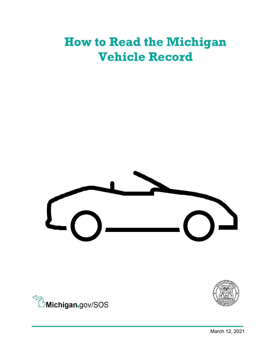# **How to Read the Michigan Vehicle Record**





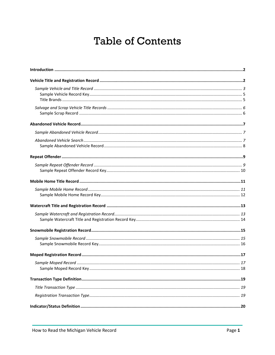## **Table of Contents**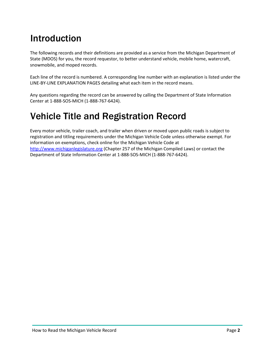## <span id="page-2-0"></span>Introduction

The following records and their definitions are provided as a service from the Michigan Department of State (MDOS) for you, the record requestor, to better understand vehicle, mobile home, watercraft, snowmobile, and moped records.

Each line of the record is numbered. A corresponding line number with an explanation is listed under the LINE-BY-LINE EXPLANATION PAGES detailing what each item in the record means.

Any questions regarding the record can be answered by calling the Department of State Information Center at 1-888-SOS-MICH (1-888-767-6424).

## <span id="page-2-1"></span>Vehicle Title and Registration Record

Every motor vehicle, trailer coach, and trailer when driven or moved upon public roads is subject to registration and titling requirements under the Michigan Vehicle Code unless otherwise exempt. For information on exemptions, check online for the Michigan Vehicle Code at [http://www.michiganlegislature.org](http://www.michiganlegislature.org/) (Chapter 257 of the Michigan Compiled Laws) or contact the Department of State Information Center at 1-888-SOS-MICH (1-888-767-6424).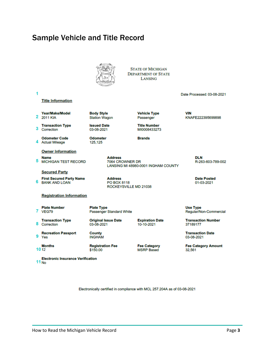### <span id="page-3-0"></span>Sample Vehicle and Title Record



**STATE OF MICHIGAN DEPARTMENT OF STATE** LANSING

| 1 | <b>Title Information</b>                                                        |                                                                          |                                          | Date Processed: 03-08-2021                |
|---|---------------------------------------------------------------------------------|--------------------------------------------------------------------------|------------------------------------------|-------------------------------------------|
| 2 | Year/Make/Model<br>2011 KIA                                                     | <b>Body Style</b><br><b>Station Wagon</b>                                | <b>Vehicle Type</b><br>Passenger         | <b>VIN</b><br>KNAFE222395699898           |
| 3 | <b>Transaction Type</b><br>Correction                                           | <b>Issued Date</b><br>03-08-2021                                         | <b>Title Number</b><br>MI0008433273      |                                           |
| 4 | <b>Odometer Code</b><br><b>Actual Mileage</b>                                   | <b>Odometer</b><br>125,125                                               | <b>Brands</b>                            |                                           |
| 5 | <b>Owner Information</b><br><b>Name</b><br><b>MICHIGAN TEST RECORD</b>          | <b>Address</b><br>7064 CROWNER DR<br>LANSING MI 48980-0001 INGHAM COUNTY | <b>DLN</b><br>R-263-603-789-002          |                                           |
| 6 | <b>Secured Party</b><br><b>First Secured Party Name</b><br><b>BANK AND LOAN</b> | <b>Address</b><br>PO BOX 8118<br>ROCKEYSVILLE MD 21038                   |                                          | <b>Date Posted</b><br>01-03-2021          |
|   | <b>Registration Information</b>                                                 |                                                                          |                                          |                                           |
|   | <b>Plate Number</b><br>7 VEG79                                                  | <b>Plate Type</b><br><b>Passenger Standard White</b>                     |                                          | <b>Use Type</b><br>Regular/Non-Commercial |
|   | <b>Transaction Type</b><br>8 Correction                                         | <b>Original Issue Date</b><br>03-08-2021                                 | <b>Expiration Date</b><br>10-10-2021     | <b>Transaction Number</b><br>37189177     |
|   | <b>Recreation Passport</b><br>9 Yes                                             | County<br><b>INGHAM</b>                                                  |                                          | <b>Transaction Date</b><br>03-08-2021     |
|   | <b>Months</b><br>1012                                                           | <b>Registration Fee</b><br>\$150.00                                      | <b>Fee Category</b><br><b>MSRP Based</b> | <b>Fee Category Amount</b><br>32,561      |
|   | <b>Electronic Insurance Verification</b><br>11 <sub>No</sub>                    |                                                                          |                                          |                                           |

Electronically certified in compliance with MCL 257.204A as of 03-08-2021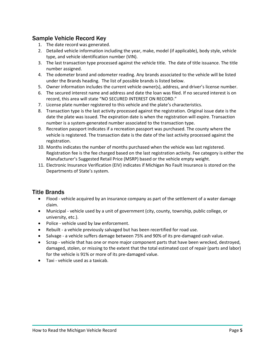#### <span id="page-4-0"></span>Sample Vehicle Record Key

- 1. The date record was generated.
- 2. Detailed vehicle information including the year, make, model (if applicable), body style, vehicle type, and vehicle identification number (VIN).
- 3. The last transaction type processed against the vehicle title. The date of title issuance. The title number assigned.
- 4. The odometer brand and odometer reading. Any brands associated to the vehicle will be listed under the Brands heading. The list of possible brands is listed below.
- 5. Owner information includes the current vehicle owner(s), address, and driver's license number.
- 6. The secured interest name and address and date the loan was filed. If no secured interest is on record, this area will state "NO SECURED INTEREST ON RECORD."
- 7. License plate number registered to this vehicle and the plate's characteristics.
- 8. Transaction type is the last activity processed against the registration. Original issue date is the date the plate was issued. The expiration date is when the registration will expire. Transaction number is a system-generated number associated to the transaction type.
- 9. Recreation passport indicates if a recreation passport was purchased. The county where the vehicle is registered. The transaction date is the date of the last activity processed against the registration.
- 10. Months indicates the number of months purchased when the vehicle was last registered. Registration fee is the fee charged based on the last registration activity. Fee category is either the Manufacturer's Suggested Retail Price (MSRP) based or the vehicle empty weight.
- 11. Electronic Insurance Verification (EIV) indicates if Michigan No Fault Insurance is stored on the Departments of State's system.

#### <span id="page-4-1"></span>Title Brands

- Flood vehicle acquired by an insurance company as part of the settlement of a water damage claim.
- Municipal vehicle used by a unit of government (city, county, township, public college, or university, etc.).
- Police vehicle used by law enforcement.
- Rebuilt a vehicle previously salvaged but has been recertified for road use.
- Salvage a vehicle suffers damage between 75% and 90% of its pre-damaged cash value.
- Scrap vehicle that has one or more major component parts that have been wrecked, destroyed, damaged, stolen, or missing to the extent that the total estimated cost of repair (parts and labor) for the vehicle is 91% or more of its pre-damaged value.
- Taxi vehicle used as a taxicab.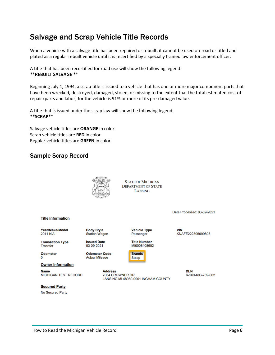### <span id="page-5-0"></span>Salvage and Scrap Vehicle Title Records

When a vehicle with a salvage title has been repaired or rebuilt, it cannot be used on-road or titled and plated as a regular rebuilt vehicle until it is recertified by a specially trained law enforcement officer.

A title that has been recertified for road use will show the following legend: **\*\*REBUILT SALVAGE \*\*** 

Beginning July 1, 1994, a scrap title is issued to a vehicle that has one or more major component parts that have been wrecked, destroyed, damaged, stolen, or missing to the extent that the total estimated cost of repair (parts and labor) for the vehicle is 91% or more of its pre-damaged value.

A title that is issued under the scrap law will show the following legend. **\*\*SCRAP\*\*** 

Salvage vehicle titles are **ORANGE** in color. Scrap vehicle titles are **RED** in color. Regular vehicle titles are **GREEN** in color.

#### <span id="page-5-1"></span>Sample Scrap Record



**STATE OF MICHIGAN DEPARTMENT OF STATE** LANSING

**Vehicle Type** 

**Title Number** 

MI0008408602

Passenger

Date Processed: 03-09-2021

#### **Title Information**

Year/Make/Model **2011 KIA** 

**Transaction Type Transfer** 

**Odometer** 0

**Owner Information** 

**Name MICHIGAN TEST RECORD** 

**Secured Party** No Secured Party

**Body Style Station Wagon** 

**Issued Date** 03-09-2021

**Odometer Code Actual Mileage** 

> **Address** 7064 CROWNER DR LANSING MI 48980-0001 INGHAM COUNTY

**Brands** 

**Scrap** 

**VIN** KNAFE222395699898

> **DLN** R-263-603-789-002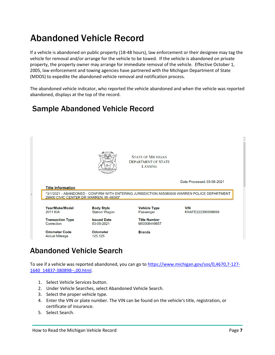## <span id="page-6-0"></span>Abandoned Vehicle Record

If a vehicle is abandoned on public property (18-48 hours), law enforcement or their designee may tag the vehicle for removal and/or arrange for the vehicle to be towed. If the vehicle is abandoned on private property, the property owner may arrange for immediate removal of the vehicle. Effective October 1, 2005, law enforcement and towing agencies have partnered with the Michigan Department of State (MDOS) to expedite the abandoned vehicle removal and notification process.

The abandoned vehicle indicator, who reported the vehicle abandoned and when the vehicle was reported abandoned, displays at the top of the record.

### <span id="page-6-1"></span>Sample Abandoned Vehicle Record



### <span id="page-6-2"></span>Abandoned Vehicle Search

To see if a vehicle was reported abandoned, you can go to [https://www.michigan.gov/sos/0,4670,7-127-](https://www.michigan.gov/sos/0,4670,7-127-1640_14837-380898--,00.html) [1640\\_14837-380898--,00.html.](https://www.michigan.gov/sos/0,4670,7-127-1640_14837-380898--,00.html)

- 1. Select Vehicle Services button.
- 2. Under Vehicle Searches, select Abandoned Vehicle Search.
- 3. Select the proper vehicle type.
- 4. Enter the VIN or plate number. The VIN can be found on the vehicle's title, registration, or certificate of insurance.
- 5. Select Search.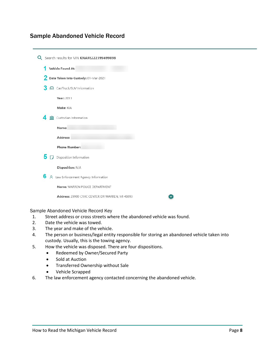#### <span id="page-7-0"></span>Sample Abandoned Vehicle Record

| Q Search results for VIN KNAFE222395699898      |  |  |  |  |  |
|-------------------------------------------------|--|--|--|--|--|
| 1<br>Vehicle Found At:                          |  |  |  |  |  |
| 2 Date Taken Into Custody: 01-Mar-2021          |  |  |  |  |  |
| З<br>d Car/Truck/SUV Information                |  |  |  |  |  |
| <b>Year: 2011</b>                               |  |  |  |  |  |
| Make: KIA                                       |  |  |  |  |  |
| Δ.<br>Custodian Information                     |  |  |  |  |  |
| Name:                                           |  |  |  |  |  |
| Address:                                        |  |  |  |  |  |
| <b>Phone Number:</b>                            |  |  |  |  |  |
| 5 r<br>Disposition Information                  |  |  |  |  |  |
| Disposition: N/A                                |  |  |  |  |  |
| 6<br>A Law Enforcement Agency Information       |  |  |  |  |  |
| Name: WARREN POLICE DEPARTMENT                  |  |  |  |  |  |
| Address: 29900 CIVIC CENTER DR WARREN, MI 48093 |  |  |  |  |  |

#### Sample Abandoned Vehicle Record Key

- 1. Street address or cross streets where the abandoned vehicle was found.
- 2. Date the vehicle was towed.
- 3. The year and make of the vehicle.
- 4. The person or business/legal entity responsible for storing an abandoned vehicle taken into custody. Usually, this is the towing agency.

 $\bullet$ 

- 5. How the vehicle was disposed. There are four dispositions.
	- Redeemed by Owner/Secured Party
	- Sold at Auction
	- Transferred Ownership without Sale
	- Vehicle Scrapped
- 6. The law enforcement agency contacted concerning the abandoned vehicle.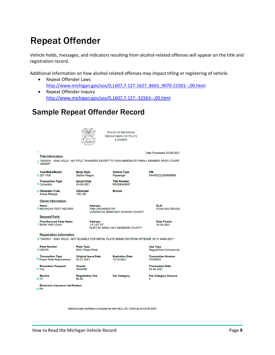## <span id="page-8-0"></span>Repeat Offender

Vehicle holds, messages, and indicators resulting from alcohol-related offenses will appear on the title and registration record.

Additional information on how alcohol-related offenses may impact titling or registering of vehicle.

- Repeat Offender Laws [http://www.michigan.gov/sos/0,1607,7-127-1627\\_8665\\_9070-21501--,00.html](http://www.michigan.gov/sos/0,1607,7-127-1627_8665_9070-21501--,00.html)
- Repeat Offender Inquiry <http://www.michigan.gov/sos/0,1607,7-127--32563--,00.html>

### <span id="page-8-1"></span>Sample Repeat Offender Record



**STATE OF MICHIGAN DEPARTMENT OF STATE** LANSING

**Title Information** 

\*3/9/2021 - 904C HOLD - NO TITLE TRANSFER EXCEPT TO NON-IMMEDIATE FAMILY MEMBER OR BY COURT<br>ORDER\*  $\overline{2}$ 

Year/Make/Model 3 2011 KIA

**Transaction Type** 4 Correction

**Issued Date** 03-08-2021 **Odometer** 

**Body Style** 

**Station Wagon** 

MI0008449657 **Brands** 

**Vehicle Type** 

**Title Number** 

Passenger

5 Odometer Code **Actual Mileage** 125,125 **Owner Information** 

> **Address**<br>7064 CROWNER DR LANSING MI 48980-0001 INGHAM COUNTY

DLN<br>R-263-603-789-002

**Secured Party** 

**First Secured Party Name** 7 BANK AND LOAN

Name<br>6 MICHIGAN TEST RECORD

**Address** E 1ST ST FLINT MI 48502-1944 GENESEE COUNTY **Date Posted** 03-08-2021

Date Processed: 03-09-2021

KNAFE222395699898

**VIN** 

**Registration Information** 

8 \*3/9/2021 - 904C HOLD - NOT ELIGIBLE FOR METAL PLATE MI8281700 FROM OFFENSE OF 01-MAR-2021\*

| <b>Plate Number</b>        | <b>Plate Type</b>          |                        | <b>Use Type</b>            |
|----------------------------|----------------------------|------------------------|----------------------------|
| 9 VEG79                    | 904C Paper Plate           |                        | Regular/Non-Commercial     |
| <b>Transaction Type</b>    | <b>Original Issue Date</b> | <b>Expiration Date</b> | <b>Transaction Number</b>  |
| 10 Paper Plate Replacement | 03-01-2021                 | 10-10-2021             | 37256524                   |
| <b>Recreation Passport</b> | County                     |                        | <b>Transaction Date</b>    |
| 11 Yes                     | <b>INGHAM</b>              |                        | 03-09-2021                 |
| <b>Months</b>              | <b>Registration Fee</b>    | <b>Fee Category</b>    | <b>Fee Category Amount</b> |
| 1212                       | \$0.00                     |                        | 0                          |

**Electronic Insurance Verification** 

**13 No** 

Electronically certified in compliance with MCL 257.204A as of 03-09-2021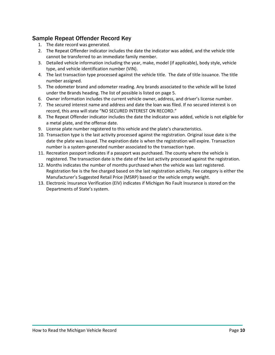#### <span id="page-9-0"></span>Sample Repeat Offender Record Key

- 1. The date record was generated.
- 2. The Repeat Offender indicator includes the date the indicator was added, and the vehicle title cannot be transferred to an immediate family member.
- 3. Detailed vehicle information including the year, make, model (if applicable), body style, vehicle type, and vehicle identification number (VIN).
- 4. The last transaction type processed against the vehicle title. The date of title issuance. The title number assigned.
- 5. The odometer brand and odometer reading. Any brands associated to the vehicle will be listed under the Brands heading. The list of possible is listed on page 5.
- 6. Owner information includes the current vehicle owner, address, and driver's license number.
- 7. The secured interest name and address and date the loan was filed. If no secured interest is on record, this area will state "NO SECURED INTEREST ON RECORD."
- 8. The Repeat Offender indicator includes the date the indicator was added, vehicle is not eligible for a metal plate, and the offense date.
- 9. License plate number registered to this vehicle and the plate's characteristics.
- 10. Transaction type is the last activity processed against the registration. Original issue date is the date the plate was issued. The expiration date is when the registration will expire. Transaction number is a system-generated number associated to the transaction type.
- 11. Recreation passport indicates if a passport was purchased. The county where the vehicle is registered. The transaction date is the date of the last activity processed against the registration.
- 12. Months indicates the number of months purchased when the vehicle was last registered. Registration fee is the fee charged based on the last registration activity. Fee category is either the Manufacturer's Suggested Retail Price (MSRP) based or the vehicle empty weight.
- 13. Electronic Insurance Verification (EIV) indicates if Michigan No Fault Insurance is stored on the Departments of State's system.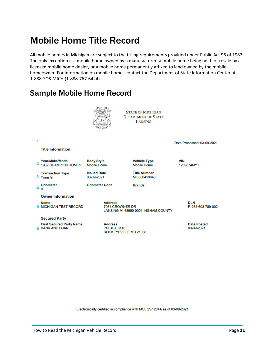## <span id="page-10-0"></span>Mobile Home Title Record

All mobile homes in Michigan are subject to the titling requirements provided under Public Act 96 of 1987. The only exception is a mobile home owned by a manufacturer, a mobile home being held for resale by a licensed mobile home dealer, or a mobile home permanently affixed to land owned by the mobile homeowner. For information on mobile homes contact the Department of State Information Center at 1-888-SOS-MICH (1-888-767-6424).

### <span id="page-10-1"></span>Sample Mobile Home Record



Electronically certified in compliance with MCL 257.204A as of 03-09-2021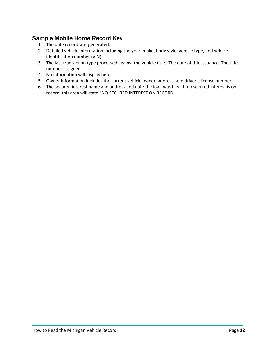#### <span id="page-11-0"></span>Sample Mobile Home Record Key

- 1. The date record was generated.
- 2. Detailed vehicle information including the year, make, body style, vehicle type, and vehicle identification number (VIN).
- 3. The last transaction type processed against the vehicle title. The date of title issuance. The title number assigned.
- 4. No information will display here.
- 5. Owner information includes the current vehicle owner, address, and driver's license number.
- 6. The secured interest name and address and date the loan was filed. If no secured interest is on record, this area will state "NO SECURED INTEREST ON RECORD."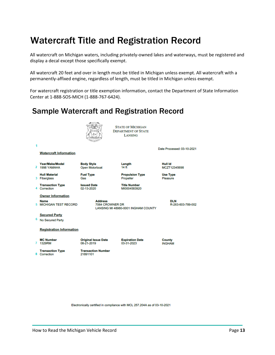## <span id="page-12-0"></span>Watercraft Title and Registration Record

All watercraft on Michigan waters, including privately-owned lakes and waterways, must be registered and display a decal except those specifically exempt.

All watercraft 20 feet and over in length must be titled in Michigan unless exempt. All watercraft with a permanently-affixed engine, regardless of length, must be titled in Michigan unless exempt.

For watercraft registration or title exemption information, contact the Department of State Information Center at 1-888-SOS-MICH (1-888-767-6424).

### <span id="page-12-1"></span>Sample Watercraft and Registration Record



Electronically certified in compliance with MCL 257.204A as of 03-10-2021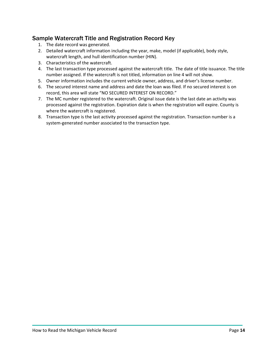#### <span id="page-13-0"></span>Sample Watercraft Title and Registration Record Key

- 1. The date record was generated.
- 2. Detailed watercraft information including the year, make, model (if applicable), body style, watercraft length, and hull identification number (HIN).
- 3. Characteristics of the watercraft.
- 4. The last transaction type processed against the watercraft title. The date of title issuance. The title number assigned. If the watercraft is not titled, information on line 4 will not show.
- 5. Owner information includes the current vehicle owner, address, and driver's license number.
- 6. The secured interest name and address and date the loan was filed. If no secured interest is on record, this area will state "NO SECURED INTEREST ON RECORD."
- 7. The MC number registered to the watercraft. Original issue date is the last date an activity was processed against the registration. Expiration date is when the registration will expire. County is where the watercraft is registered.
- 8. Transaction type is the last activity processed against the registration. Transaction number is a system-generated number associated to the transaction type.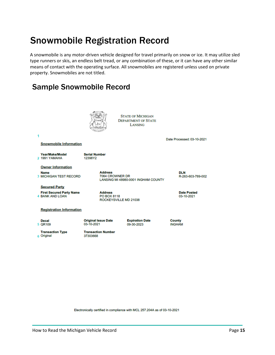## <span id="page-14-0"></span>Snowmobile Registration Record

A snowmobile is any motor-driven vehicle designed for travel primarily on snow or ice. It may utilize sled type runners or skis, an endless belt tread, or any combination of these, or it can have any other similar means of contact with the operating surface. All snowmobiles are registered unless used on private property. Snowmobiles are not titled.

### <span id="page-14-1"></span>Sample Snowmobile Record



Electronically certified in compliance with MCL 257.204A as of 03-10-2021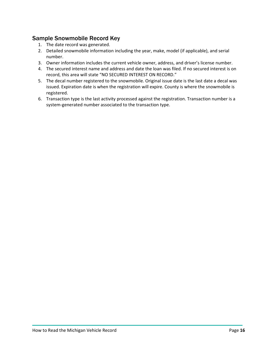#### <span id="page-15-0"></span>Sample Snowmobile Record Key

- 1. The date record was generated.
- 2. Detailed snowmobile information including the year, make, model (if applicable), and serial number.
- 3. Owner information includes the current vehicle owner, address, and driver's license number.
- 4. The secured interest name and address and date the loan was filed. If no secured interest is on record, this area will state "NO SECURED INTEREST ON RECORD."
- 5. The decal number registered to the snowmobile. Original issue date is the last date a decal was issued. Expiration date is when the registration will expire. County is where the snowmobile is registered.
- 6. Transaction type is the last activity processed against the registration. Transaction number is a system-generated number associated to the transaction type.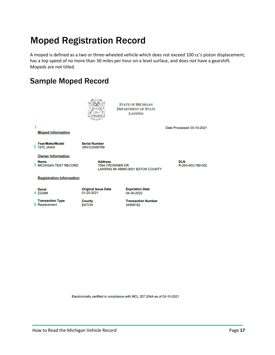## <span id="page-16-0"></span>Moped Registration Record

A moped is defined as a two or three-wheeled vehicle which does not exceed 100 cc's piston displacement, has a top speed of no more than 30 miles per hour on a level surface, and does not have a gearshift. Mopeds are not titled.

### <span id="page-16-1"></span>Sample Moped Record



Electronically certified in compliance with MCL 257.204A as of 03-10-2021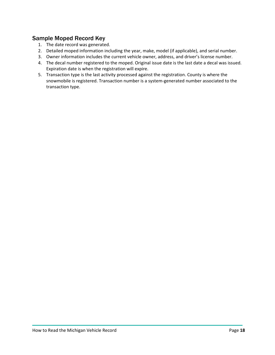#### <span id="page-17-0"></span>Sample Moped Record Key

- 1. The date record was generated.
- 2. Detailed moped information including the year, make, model (if applicable), and serial number.
- 3. Owner information includes the current vehicle owner, address, and driver's license number.
- 4. The decal number registered to the moped. Original issue date is the last date a decal was issued. Expiration date is when the registration will expire.
- 5. Transaction type is the last activity processed against the registration. County is where the snowmobile is registered. Transaction number is a system-generated number associated to the transaction type.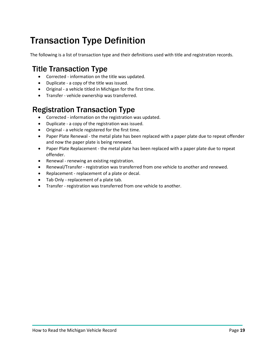## <span id="page-18-0"></span>Transaction Type Definition

The following is a list of transaction type and their definitions used with title and registration records.

### <span id="page-18-1"></span>Title Transaction Type

- Corrected information on the title was updated.
- Duplicate a copy of the title was issued.
- Original a vehicle titled in Michigan for the first time.
- Transfer vehicle ownership was transferred.

### <span id="page-18-2"></span>Registration Transaction Type

- Corrected information on the registration was updated.
- Duplicate a copy of the registration was issued.
- Original a vehicle registered for the first time.
- Paper Plate Renewal the metal plate has been replaced with a paper plate due to repeat offender and now the paper plate is being renewed.
- Paper Plate Replacement the metal plate has been replaced with a paper plate due to repeat offender.
- Renewal renewing an existing registration.
- Renewal/Transfer registration was transferred from one vehicle to another and renewed.
- Replacement replacement of a plate or decal.
- Tab Only replacement of a plate tab.
- Transfer registration was transferred from one vehicle to another.